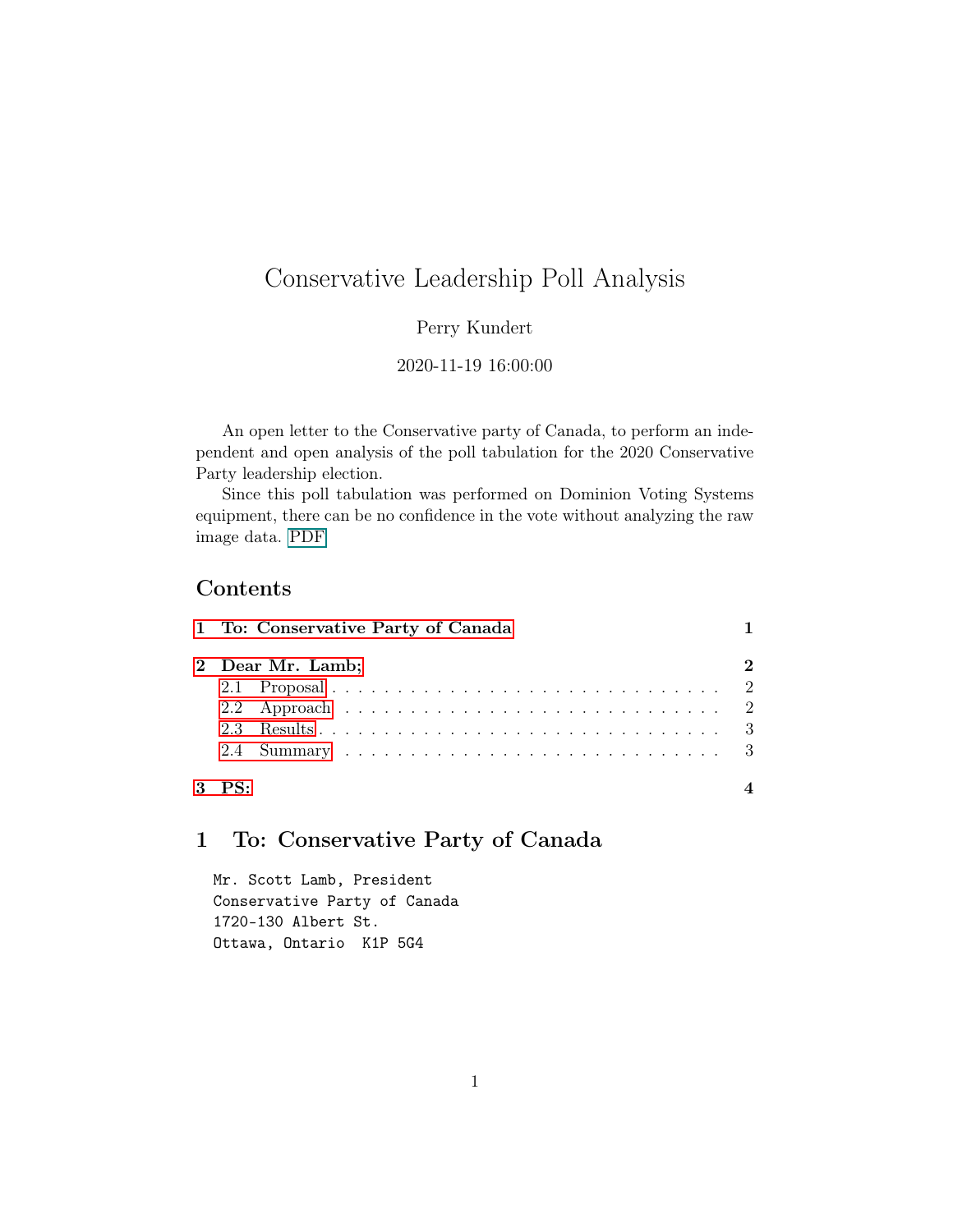# Conservative Leadership Poll Analysis

### Perry Kundert

#### 2020-11-19 16:00:00

An open letter to the Conservative party of Canada, to perform an independent and open analysis of the poll tabulation for the 2020 Conservative Party leadership election.

Since this poll tabulation was performed on Dominion Voting Systems equipment, there can be no confidence in the vote without analyzing the raw image data. PDF

# Contents

|  | 2 Dear Mr. Lamb; |  |  |  |  |  |  |  |  |  |  |  |  |  |  |
|--|------------------|--|--|--|--|--|--|--|--|--|--|--|--|--|--|
|  |                  |  |  |  |  |  |  |  |  |  |  |  |  |  |  |
|  |                  |  |  |  |  |  |  |  |  |  |  |  |  |  |  |
|  |                  |  |  |  |  |  |  |  |  |  |  |  |  |  |  |
|  |                  |  |  |  |  |  |  |  |  |  |  |  |  |  |  |

# <span id="page-0-0"></span>1 To: Conservative Party of Canada

Mr. Scott Lamb, President Conservative Party of Canada 1720-130 Albert St. Ottawa, Ontario K1P 5G4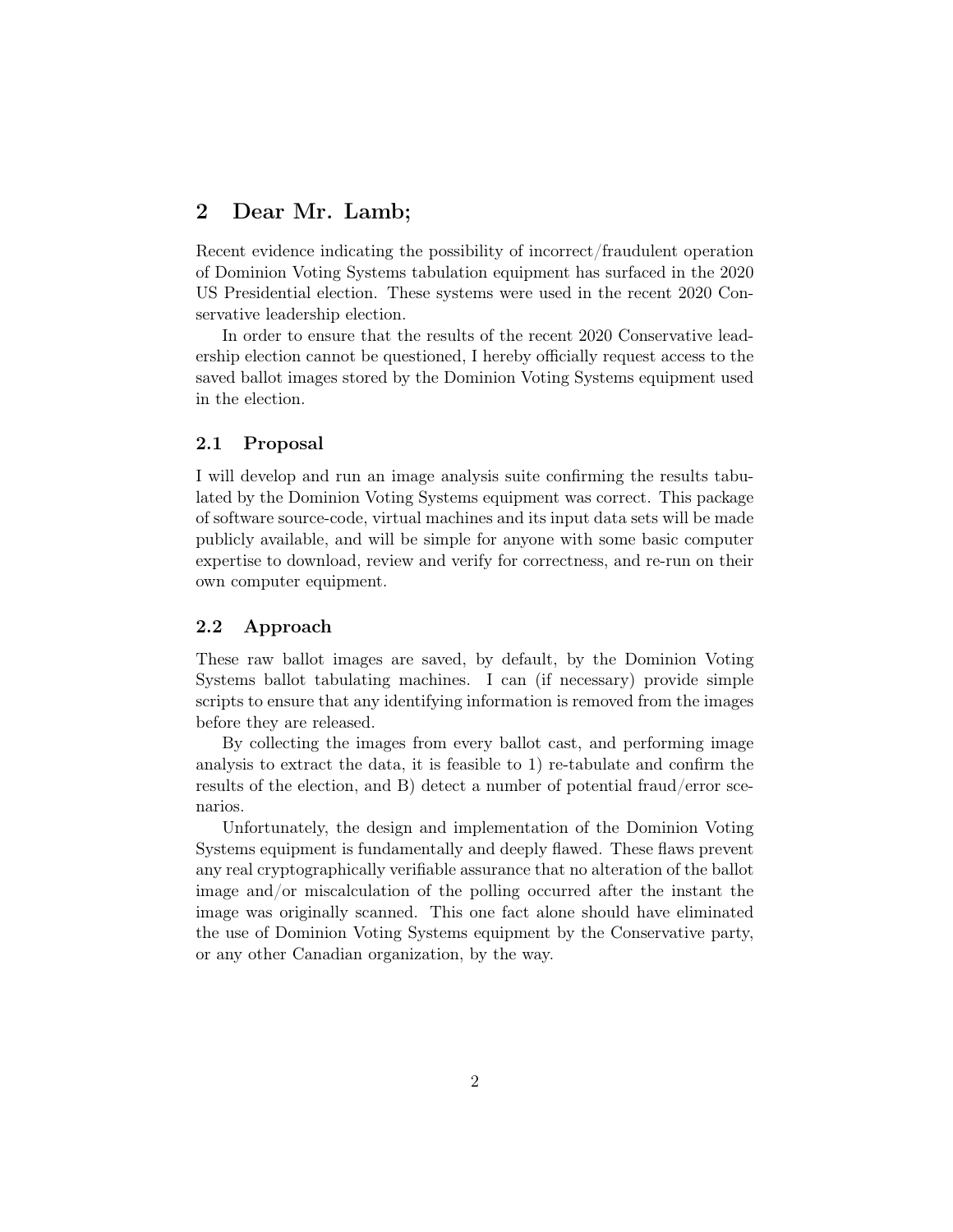## <span id="page-1-0"></span>2 Dear Mr. Lamb;

Recent evidence indicating the possibility of incorrect/fraudulent operation of Dominion Voting Systems tabulation equipment has surfaced in the 2020 US Presidential election. These systems were used in the recent 2020 Conservative leadership election.

In order to ensure that the results of the recent 2020 Conservative leadership election cannot be questioned, I hereby officially request access to the saved ballot images stored by the Dominion Voting Systems equipment used in the election.

#### <span id="page-1-1"></span>2.1 Proposal

I will develop and run an image analysis suite confirming the results tabulated by the Dominion Voting Systems equipment was correct. This package of software source-code, virtual machines and its input data sets will be made publicly available, and will be simple for anyone with some basic computer expertise to download, review and verify for correctness, and re-run on their own computer equipment.

#### <span id="page-1-2"></span>2.2 Approach

These raw ballot images are saved, by default, by the Dominion Voting Systems ballot tabulating machines. I can (if necessary) provide simple scripts to ensure that any identifying information is removed from the images before they are released.

By collecting the images from every ballot cast, and performing image analysis to extract the data, it is feasible to 1) re-tabulate and confirm the results of the election, and B) detect a number of potential fraud/error scenarios.

Unfortunately, the design and implementation of the Dominion Voting Systems equipment is fundamentally and deeply flawed. These flaws prevent any real cryptographically verifiable assurance that no alteration of the ballot image and/or miscalculation of the polling occurred after the instant the image was originally scanned. This one fact alone should have eliminated the use of Dominion Voting Systems equipment by the Conservative party, or any other Canadian organization, by the way.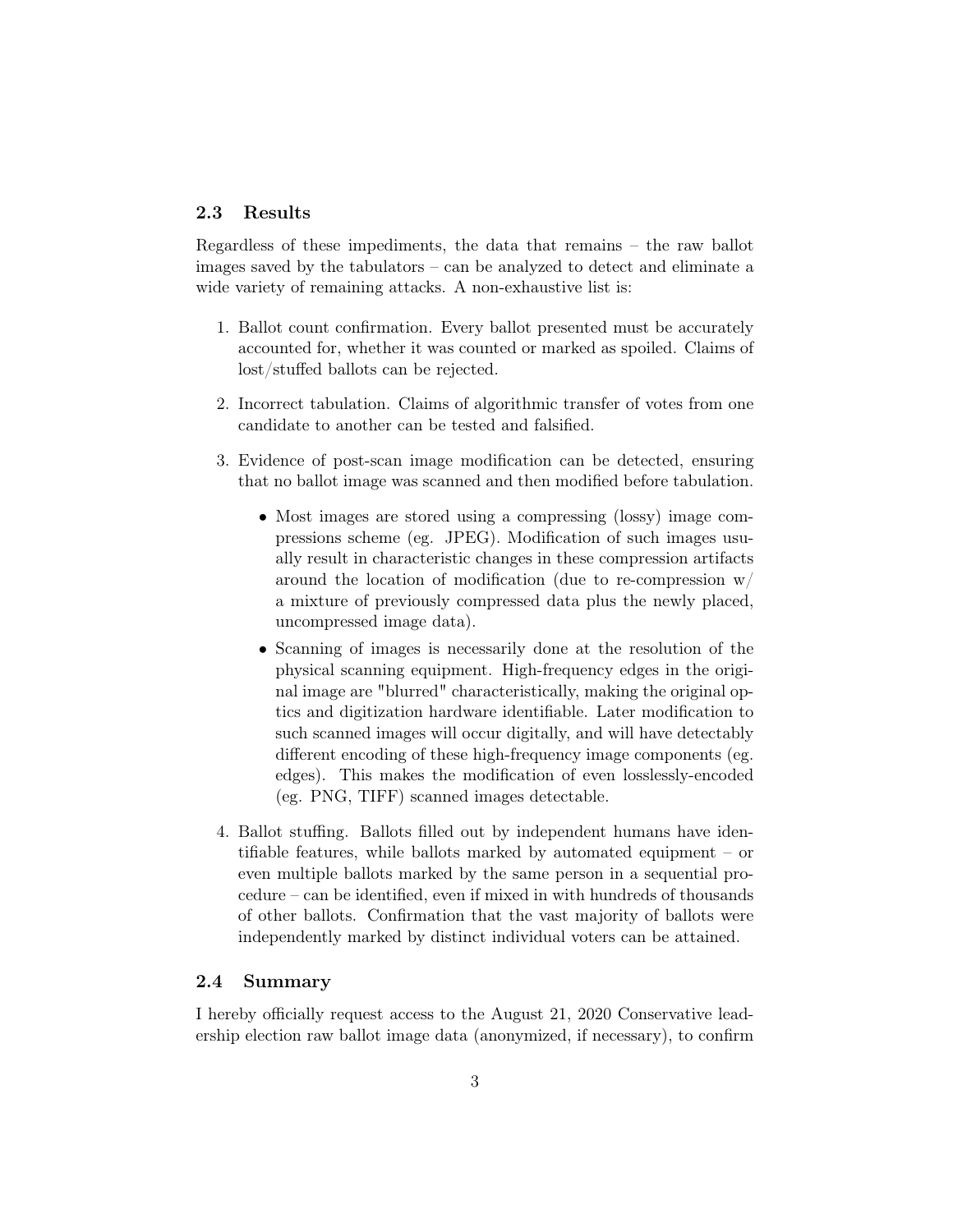#### <span id="page-2-0"></span>2.3 Results

Regardless of these impediments, the data that remains – the raw ballot images saved by the tabulators – can be analyzed to detect and eliminate a wide variety of remaining attacks. A non-exhaustive list is:

- 1. Ballot count confirmation. Every ballot presented must be accurately accounted for, whether it was counted or marked as spoiled. Claims of lost/stuffed ballots can be rejected.
- 2. Incorrect tabulation. Claims of algorithmic transfer of votes from one candidate to another can be tested and falsified.
- 3. Evidence of post-scan image modification can be detected, ensuring that no ballot image was scanned and then modified before tabulation.
	- Most images are stored using a compressing (lossy) image compressions scheme (eg. JPEG). Modification of such images usually result in characteristic changes in these compression artifacts around the location of modification (due to re-compression w/ a mixture of previously compressed data plus the newly placed, uncompressed image data).
	- Scanning of images is necessarily done at the resolution of the physical scanning equipment. High-frequency edges in the original image are "blurred" characteristically, making the original optics and digitization hardware identifiable. Later modification to such scanned images will occur digitally, and will have detectably different encoding of these high-frequency image components (eg. edges). This makes the modification of even losslessly-encoded (eg. PNG, TIFF) scanned images detectable.
- 4. Ballot stuffing. Ballots filled out by independent humans have identifiable features, while ballots marked by automated equipment – or even multiple ballots marked by the same person in a sequential procedure – can be identified, even if mixed in with hundreds of thousands of other ballots. Confirmation that the vast majority of ballots were independently marked by distinct individual voters can be attained.

#### <span id="page-2-1"></span>2.4 Summary

I hereby officially request access to the August 21, 2020 Conservative leadership election raw ballot image data (anonymized, if necessary), to confirm